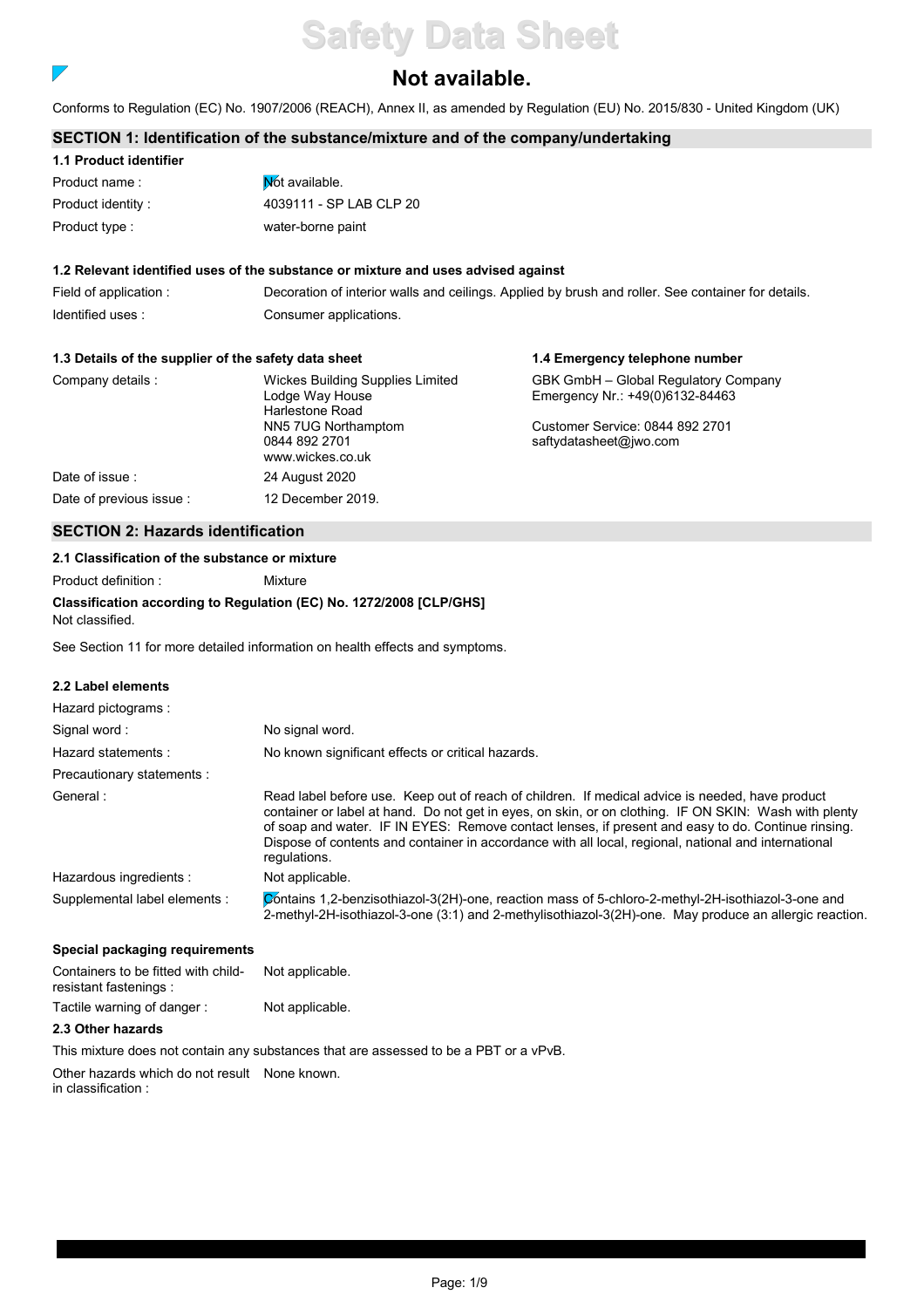# **Safety Data Sheet**

## **Not available.**

Conforms to Regulation (EC) No. 1907/2006 (REACH), Annex II, as amended by Regulation (EU) No. 2015/830 - United Kingdom (UK)

## **SECTION 1: Identification of the substance/mixture and of the company/undertaking**

| 1.1 Product identifier |                         |
|------------------------|-------------------------|
| Product name:          | Not available.          |
| Product identity:      | 4039111 - SP LAB CLP 20 |
| Product type :         | water-borne paint       |

## **1.2 Relevant identified uses of the substance or mixture and uses advised against**

Field of application : Decoration of interior walls and ceilings. Applied by brush and roller. See container for details. Identified uses : Consumer applications.

## **1.3 Details of the supplier of the safety data sheet**

| 1.3 Details of the supplier of the safety data sheet |                                                                        | 1.4 Emergency telephone number                                          |
|------------------------------------------------------|------------------------------------------------------------------------|-------------------------------------------------------------------------|
| Company details :                                    | Wickes Building Supplies Limited<br>Lodge Way House<br>Harlestone Road | GBK GmbH - Global Regulatory Company<br>Emergency Nr.: +49(0)6132-84463 |
|                                                      | NN5 7UG Northamptom<br>0844 892 2701<br>www.wickes.co.uk               | Customer Service: 0844 892 2701<br>saftydatasheet@jwo.com               |
| Date of issue:                                       | 24 August 2020                                                         |                                                                         |
| Date of previous issue                               | 12 December 2019.                                                      |                                                                         |

## **SECTION 2: Hazards identification**

## **2.1 Classification of the substance or mixture**

Product definition : Mixture

**Classification according to Regulation (EC) No. 1272/2008 [CLP/GHS]** Not classified.

See Section 11 for more detailed information on health effects and symptoms.

## **2.2 Label elements**

 $\overline{\phantom{a}}$ 

| Hazard pictograms:            |                                                                                                                                                                                                                                                                                                                                                                                                                                        |
|-------------------------------|----------------------------------------------------------------------------------------------------------------------------------------------------------------------------------------------------------------------------------------------------------------------------------------------------------------------------------------------------------------------------------------------------------------------------------------|
| Signal word:                  | No signal word.                                                                                                                                                                                                                                                                                                                                                                                                                        |
| Hazard statements:            | No known significant effects or critical hazards.                                                                                                                                                                                                                                                                                                                                                                                      |
| Precautionary statements :    |                                                                                                                                                                                                                                                                                                                                                                                                                                        |
| General:                      | Read label before use. Keep out of reach of children. If medical advice is needed, have product<br>container or label at hand. Do not get in eyes, on skin, or on clothing. IF ON SKIN: Wash with plenty<br>of soap and water. IF IN EYES: Remove contact lenses, if present and easy to do. Continue rinsing.<br>Dispose of contents and container in accordance with all local, regional, national and international<br>regulations. |
| Hazardous ingredients :       | Not applicable.                                                                                                                                                                                                                                                                                                                                                                                                                        |
| Supplemental label elements : | Contains 1,2-benzisothiazol-3(2H)-one, reaction mass of 5-chloro-2-methyl-2H-isothiazol-3-one and<br>2-methyl-2H-isothiazol-3-one (3:1) and 2-methylisothiazol-3(2H)-one. May produce an allergic reaction.                                                                                                                                                                                                                            |

## **Special packaging requirements**

| Containers to be fitted with child-<br>resistant fastenings : | Not applicable. |  |
|---------------------------------------------------------------|-----------------|--|
| Tactile warning of danger:                                    | Not applicable. |  |

## **2.3 Other hazards**

This mixture does not contain any substances that are assessed to be a PBT or a vPvB.

Other hazards which do not result None known. in classification :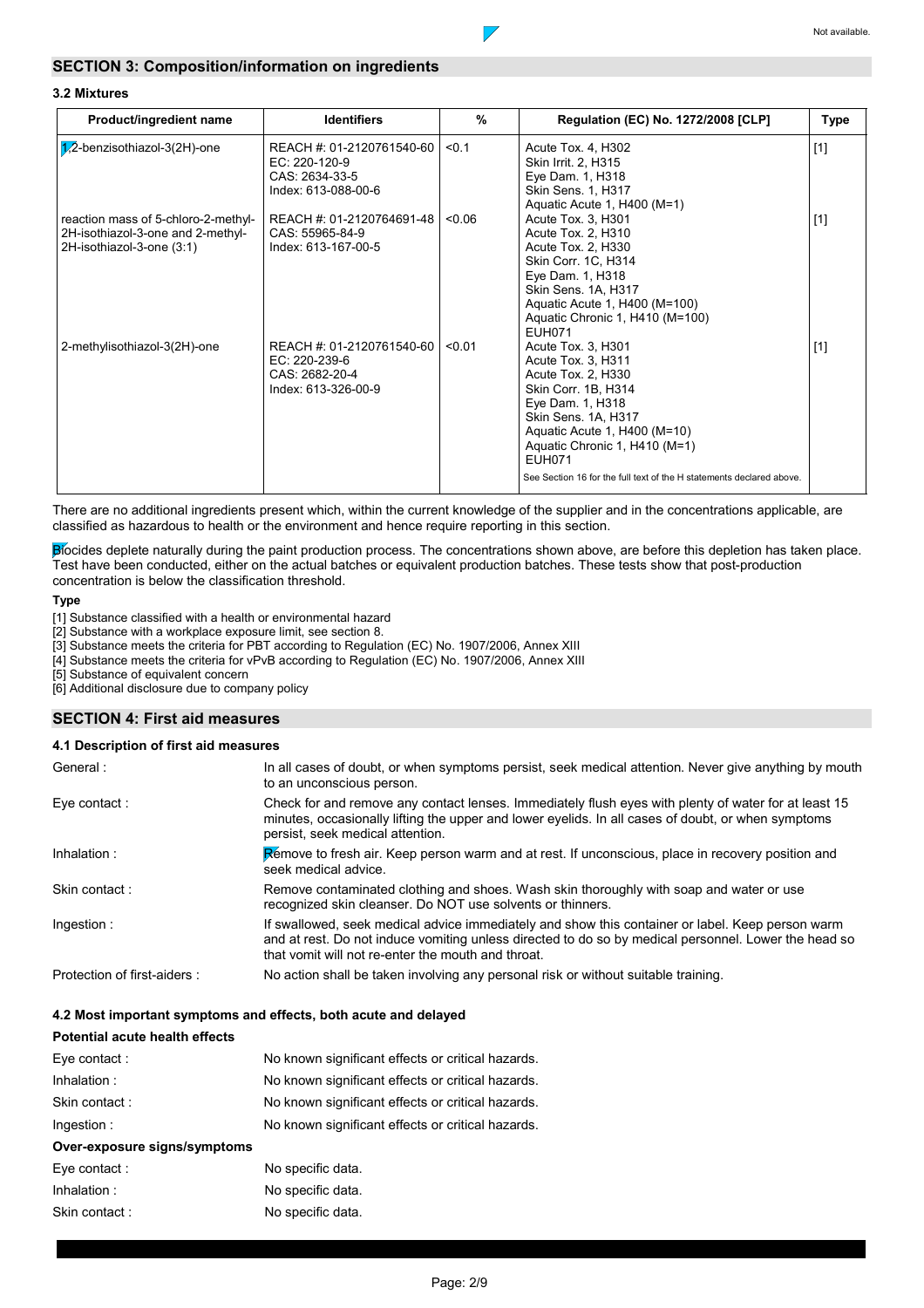

## **3.2 Mixtures**

| Product/ingredient name                                                                               | <b>Identifiers</b>                                                                    | %      | Regulation (EC) No. 1272/2008 [CLP]                                                                                                                                                                                                                                                        | Type  |
|-------------------------------------------------------------------------------------------------------|---------------------------------------------------------------------------------------|--------|--------------------------------------------------------------------------------------------------------------------------------------------------------------------------------------------------------------------------------------------------------------------------------------------|-------|
| $1/2$ -benzisothiazol-3(2H)-one                                                                       | REACH #: 01-2120761540-60  <br>EC: 220-120-9<br>CAS: 2634-33-5<br>Index: 613-088-00-6 | < 0.1  | Acute Tox. 4, H302<br>Skin Irrit. 2, H315<br>Eye Dam. 1, H318<br><b>Skin Sens. 1, H317</b><br>Aquatic Acute 1, H400 (M=1)                                                                                                                                                                  | $[1]$ |
| reaction mass of 5-chloro-2-methyl-<br>2H-isothiazol-3-one and 2-methyl-<br>2H-isothiazol-3-one (3:1) | REACH #: 01-2120764691-48<br>CAS: 55965-84-9<br>Index: 613-167-00-5                   | < 0.06 | Acute Tox. 3, H301<br>Acute Tox. 2, H310<br>Acute Tox. 2, H330<br>Skin Corr. 1C, H314<br>Eye Dam. 1, H318<br>Skin Sens. 1A, H317<br>Aquatic Acute 1, H400 (M=100)<br>Aquatic Chronic 1, H410 (M=100)<br><b>EUH071</b>                                                                      | $[1]$ |
| 2-methylisothiazol-3(2H)-one                                                                          | REACH #: 01-2120761540-60<br>EC: 220-239-6<br>CAS: 2682-20-4<br>Index: 613-326-00-9   | < 0.01 | Acute Tox. 3, H301<br>Acute Tox. 3, H311<br>Acute Tox. 2, H330<br>Skin Corr. 1B, H314<br>Eye Dam. 1, H318<br>Skin Sens. 1A, H317<br>Aquatic Acute 1, H400 (M=10)<br>Aquatic Chronic 1, H410 (M=1)<br><b>EUH071</b><br>See Section 16 for the full text of the H statements declared above. | $[1]$ |

 $\overline{\phantom{a}}$ 

There are no additional ingredients present which, within the current knowledge of the supplier and in the concentrations applicable, are classified as hazardous to health or the environment and hence require reporting in this section.

Biocides deplete naturally during the paint production process. The concentrations shown above, are before this depletion has taken place. Test have been conducted, either on the actual batches or equivalent production batches. These tests show that post-production concentration is below the classification threshold.

## **Type**

[1] Substance classified with a health or environmental hazard

[2] Substance with a workplace exposure limit, see section 8.

[3] Substance meets the criteria for PBT according to Regulation (EC) No. 1907/2006, Annex XIII

[4] Substance meets the criteria for vPvB according to Regulation (EC) No. 1907/2006, Annex XIII

[5] Substance of equivalent concern

[6] Additional disclosure due to company policy

## **SECTION 4: First aid measures**

## **4.1 Description of first aid measures**

| General:                    | In all cases of doubt, or when symptoms persist, seek medical attention. Never give anything by mouth<br>to an unconscious person.                                                                                                                             |
|-----------------------------|----------------------------------------------------------------------------------------------------------------------------------------------------------------------------------------------------------------------------------------------------------------|
| Eye contact :               | Check for and remove any contact lenses. Immediately flush eyes with plenty of water for at least 15<br>minutes, occasionally lifting the upper and lower eyelids. In all cases of doubt, or when symptoms<br>persist, seek medical attention.                 |
| Inhalation:                 | Rémove to fresh air. Keep person warm and at rest. If unconscious, place in recovery position and<br>seek medical advice.                                                                                                                                      |
| Skin contact:               | Remove contaminated clothing and shoes. Wash skin thoroughly with soap and water or use<br>recognized skin cleanser. Do NOT use solvents or thinners.                                                                                                          |
| Ingestion:                  | If swallowed, seek medical advice immediately and show this container or label. Keep person warm<br>and at rest. Do not induce vomiting unless directed to do so by medical personnel. Lower the head so<br>that vomit will not re-enter the mouth and throat. |
| Protection of first-aiders: | No action shall be taken involving any personal risk or without suitable training.                                                                                                                                                                             |

## **4.2 Most important symptoms and effects, both acute and delayed**

| Potential acute health effects |                                                   |
|--------------------------------|---------------------------------------------------|
| Eve contact :                  | No known significant effects or critical hazards. |
| Inhalation:                    | No known significant effects or critical hazards. |
| Skin contact:                  | No known significant effects or critical hazards. |
| Ingestion:                     | No known significant effects or critical hazards. |
| Over-exposure signs/symptoms   |                                                   |
| Eve contact :                  | No specific data.                                 |
| Inhalation:                    | No specific data.                                 |
| Skin contact :                 | No specific data.                                 |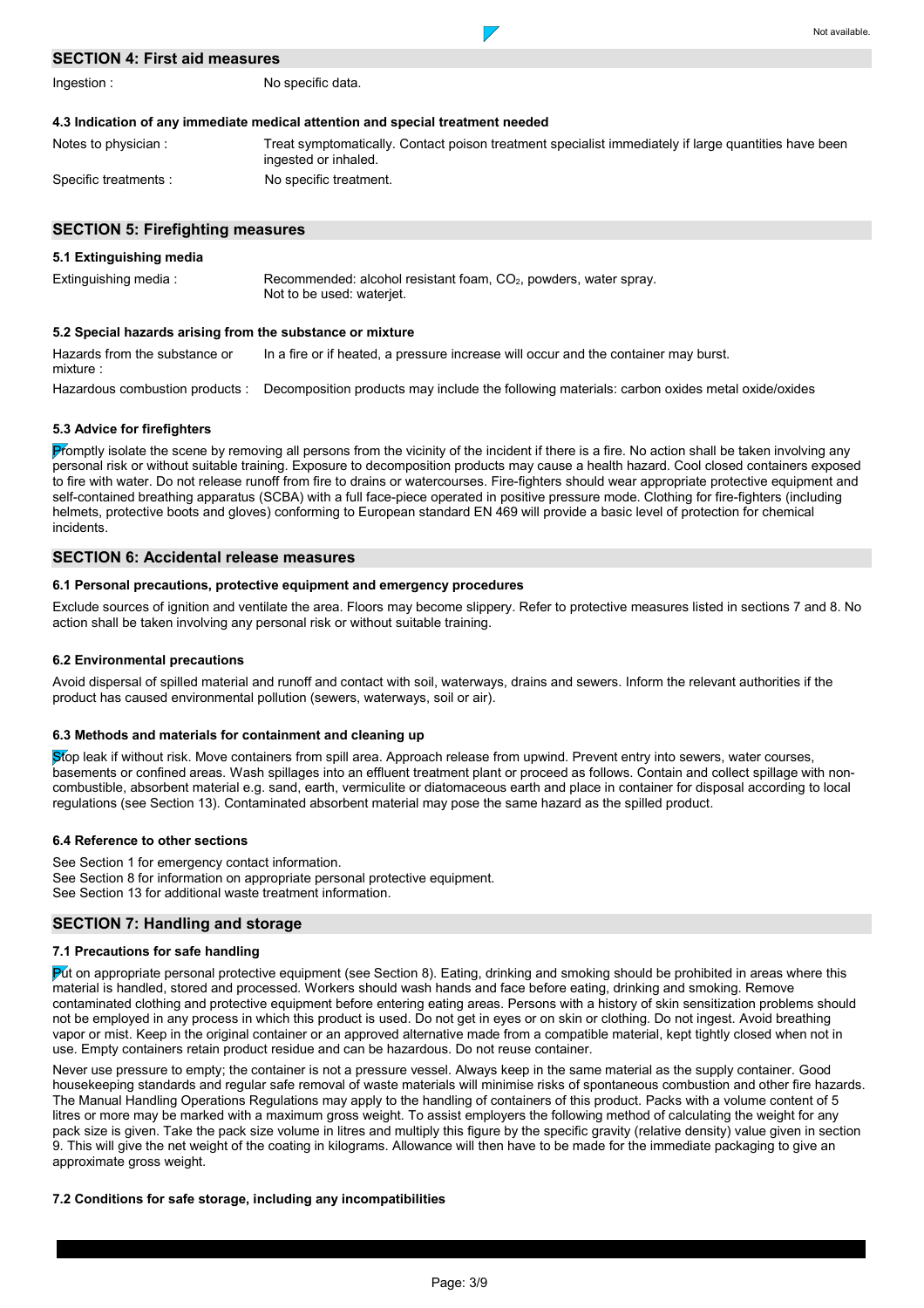## **SECTION 4: First aid measures**

Ingestion :

No specific data.

| Notes to physician :  | Treat symptomatically. Contact poison treatment specialist immediately if large quantities have been |
|-----------------------|------------------------------------------------------------------------------------------------------|
|                       | ingested or inhaled.                                                                                 |
| Specific treatments : | No specific treatment.                                                                               |

 $\overline{\phantom{a}}$ 

Not available.

## **SECTION 5: Firefighting measures**

### **5.1 Extinguishing media**

Extinguishing media : Recommended: alcohol resistant foam, CO<sub>2</sub>, powders, water spray. Not to be used: waterjet.

## **5.2 Special hazards arising from the substance or mixture**

Hazardous combustion products : Decomposition products may include the following materials: carbon oxides metal oxide/oxides Hazards from the substance or mixture : In a fire or if heated, a pressure increase will occur and the container may burst.

### **5.3 Advice for firefighters**

Promptly isolate the scene by removing all persons from the vicinity of the incident if there is a fire. No action shall be taken involving any personal risk or without suitable training. Exposure to decomposition products may cause a health hazard. Cool closed containers exposed to fire with water. Do not release runoff from fire to drains or watercourses. Fire-fighters should wear appropriate protective equipment and self-contained breathing apparatus (SCBA) with a full face-piece operated in positive pressure mode. Clothing for fire-fighters (including helmets, protective boots and gloves) conforming to European standard EN 469 will provide a basic level of protection for chemical incidents.

#### **SECTION 6: Accidental release measures**

## **6.1 Personal precautions, protective equipment and emergency procedures**

Exclude sources of ignition and ventilate the area. Floors may become slippery. Refer to protective measures listed in sections 7 and 8. No action shall be taken involving any personal risk or without suitable training.

### **6.2 Environmental precautions**

Avoid dispersal of spilled material and runoff and contact with soil, waterways, drains and sewers. Inform the relevant authorities if the product has caused environmental pollution (sewers, waterways, soil or air).

### **6.3 Methods and materials for containment and cleaning up**

Stop leak if without risk. Move containers from spill area. Approach release from upwind. Prevent entry into sewers, water courses, basements or confined areas. Wash spillages into an effluent treatment plant or proceed as follows. Contain and collect spillage with noncombustible, absorbent material e.g. sand, earth, vermiculite or diatomaceous earth and place in container for disposal according to local regulations (see Section 13). Contaminated absorbent material may pose the same hazard as the spilled product.

## **6.4 Reference to other sections**

See Section 1 for emergency contact information. See Section 8 for information on appropriate personal protective equipment. See Section 13 for additional waste treatment information.

### **SECTION 7: Handling and storage**

## **7.1 Precautions for safe handling**

Put on appropriate personal protective equipment (see Section 8). Eating, drinking and smoking should be prohibited in areas where this material is handled, stored and processed. Workers should wash hands and face before eating, drinking and smoking. Remove contaminated clothing and protective equipment before entering eating areas. Persons with a history of skin sensitization problems should not be employed in any process in which this product is used. Do not get in eyes or on skin or clothing. Do not ingest. Avoid breathing vapor or mist. Keep in the original container or an approved alternative made from a compatible material, kept tightly closed when not in use. Empty containers retain product residue and can be hazardous. Do not reuse container.

Never use pressure to empty; the container is not a pressure vessel. Always keep in the same material as the supply container. Good housekeeping standards and regular safe removal of waste materials will minimise risks of spontaneous combustion and other fire hazards. The Manual Handling Operations Regulations may apply to the handling of containers of this product. Packs with a volume content of 5 litres or more may be marked with a maximum gross weight. To assist employers the following method of calculating the weight for any pack size is given. Take the pack size volume in litres and multiply this figure by the specific gravity (relative density) value given in section 9. This will give the net weight of the coating in kilograms. Allowance will then have to be made for the immediate packaging to give an approximate gross weight.

## **7.2 Conditions for safe storage, including any incompatibilities**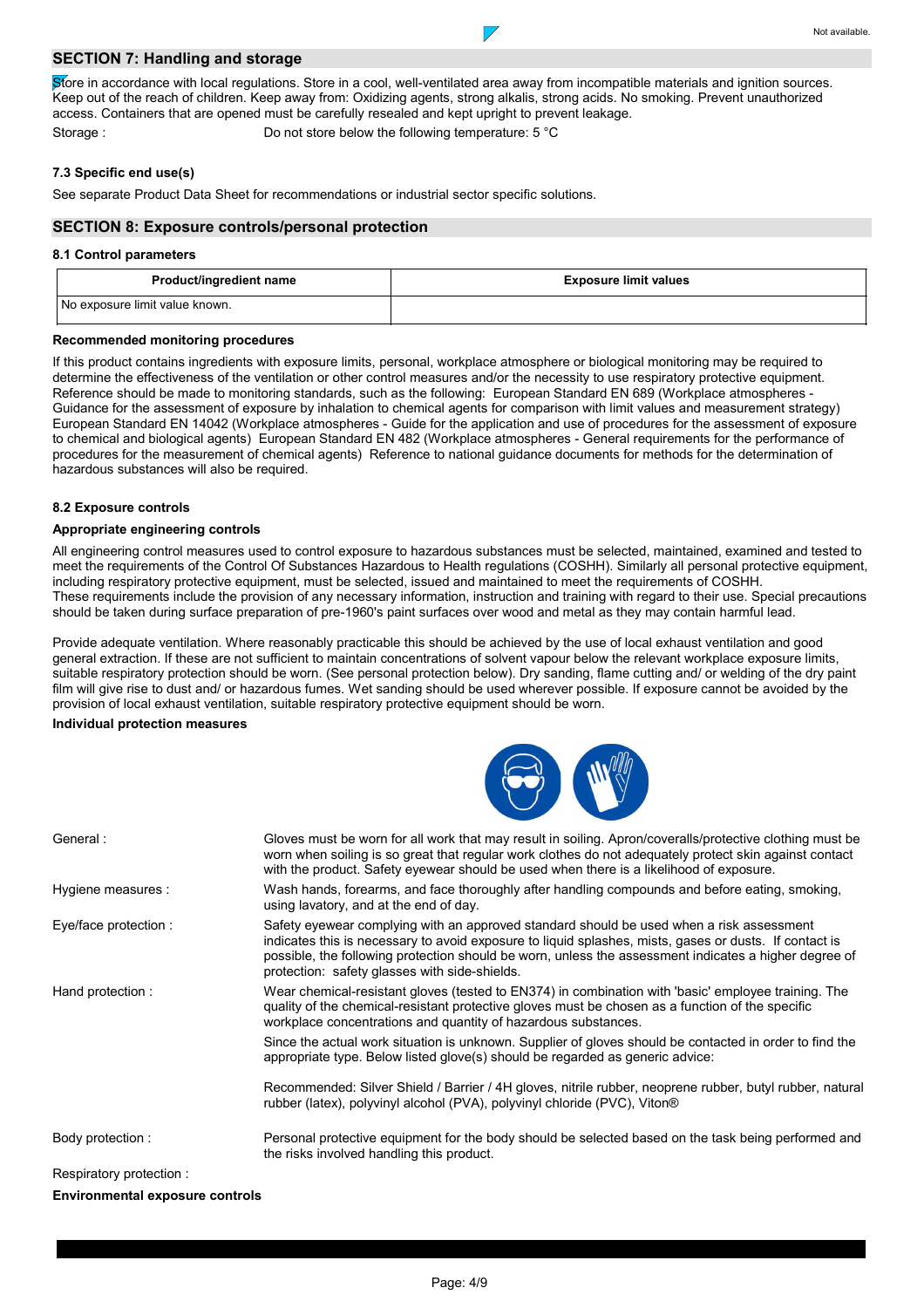## **SECTION 7: Handling and storage**

Store in accordance with local regulations. Store in a cool, well-ventilated area away from incompatible materials and ignition sources. Keep out of the reach of children. Keep away from: Oxidizing agents, strong alkalis, strong acids. No smoking. Prevent unauthorized access. Containers that are opened must be carefully resealed and kept upright to prevent leakage.

Storage : Do not store below the following temperature: 5 °C

## **7.3 Specific end use(s)**

See separate Product Data Sheet for recommendations or industrial sector specific solutions.

## **SECTION 8: Exposure controls/personal protection**

### **8.1 Control parameters**

| Product/ingredient name        | <b>Exposure limit values</b> |
|--------------------------------|------------------------------|
| No exposure limit value known. |                              |

### **Recommended monitoring procedures**

If this product contains ingredients with exposure limits, personal, workplace atmosphere or biological monitoring may be required to determine the effectiveness of the ventilation or other control measures and/or the necessity to use respiratory protective equipment. Reference should be made to monitoring standards, such as the following: European Standard EN 689 (Workplace atmospheres - Guidance for the assessment of exposure by inhalation to chemical agents for comparison with limit values and measurement strategy) European Standard EN 14042 (Workplace atmospheres - Guide for the application and use of procedures for the assessment of exposure to chemical and biological agents) European Standard EN 482 (Workplace atmospheres - General requirements for the performance of procedures for the measurement of chemical agents) Reference to national guidance documents for methods for the determination of hazardous substances will also be required.

## **8.2 Exposure controls**

### **Appropriate engineering controls**

All engineering control measures used to control exposure to hazardous substances must be selected, maintained, examined and tested to meet the requirements of the Control Of Substances Hazardous to Health regulations (COSHH). Similarly all personal protective equipment, including respiratory protective equipment, must be selected, issued and maintained to meet the requirements of COSHH. These requirements include the provision of any necessary information, instruction and training with regard to their use. Special precautions should be taken during surface preparation of pre-1960's paint surfaces over wood and metal as they may contain harmful lead.

Provide adequate ventilation. Where reasonably practicable this should be achieved by the use of local exhaust ventilation and good general extraction. If these are not sufficient to maintain concentrations of solvent vapour below the relevant workplace exposure limits, suitable respiratory protection should be worn. (See personal protection below). Dry sanding, flame cutting and/ or welding of the dry paint film will give rise to dust and/ or hazardous fumes. Wet sanding should be used wherever possible. If exposure cannot be avoided by the provision of local exhaust ventilation, suitable respiratory protective equipment should be worn.

## **Individual protection measures**



| General:                | Gloves must be worn for all work that may result in soiling. Apron/coveralls/protective clothing must be<br>worn when soiling is so great that regular work clothes do not adequately protect skin against contact<br>with the product. Safety eyewear should be used when there is a likelihood of exposure.                                                |
|-------------------------|--------------------------------------------------------------------------------------------------------------------------------------------------------------------------------------------------------------------------------------------------------------------------------------------------------------------------------------------------------------|
| Hygiene measures :      | Wash hands, forearms, and face thoroughly after handling compounds and before eating, smoking,<br>using lavatory, and at the end of day.                                                                                                                                                                                                                     |
| Eye/face protection :   | Safety eyewear complying with an approved standard should be used when a risk assessment<br>indicates this is necessary to avoid exposure to liquid splashes, mists, gases or dusts. If contact is<br>possible, the following protection should be worn, unless the assessment indicates a higher degree of<br>protection: safety glasses with side-shields. |
| Hand protection:        | Wear chemical-resistant gloves (tested to EN374) in combination with 'basic' employee training. The<br>quality of the chemical-resistant protective gloves must be chosen as a function of the specific<br>workplace concentrations and quantity of hazardous substances.                                                                                    |
|                         | Since the actual work situation is unknown. Supplier of gloves should be contacted in order to find the<br>appropriate type. Below listed glove(s) should be regarded as generic advice:                                                                                                                                                                     |
|                         | Recommended: Silver Shield / Barrier / 4H gloves, nitrile rubber, neoprene rubber, butyl rubber, natural<br>rubber (latex), polyvinyl alcohol (PVA), polyvinyl chloride (PVC), Viton®                                                                                                                                                                        |
| Body protection :       | Personal protective equipment for the body should be selected based on the task being performed and<br>the risks involved handling this product.                                                                                                                                                                                                             |
| Respiratory protection: |                                                                                                                                                                                                                                                                                                                                                              |

**Environmental exposure controls**

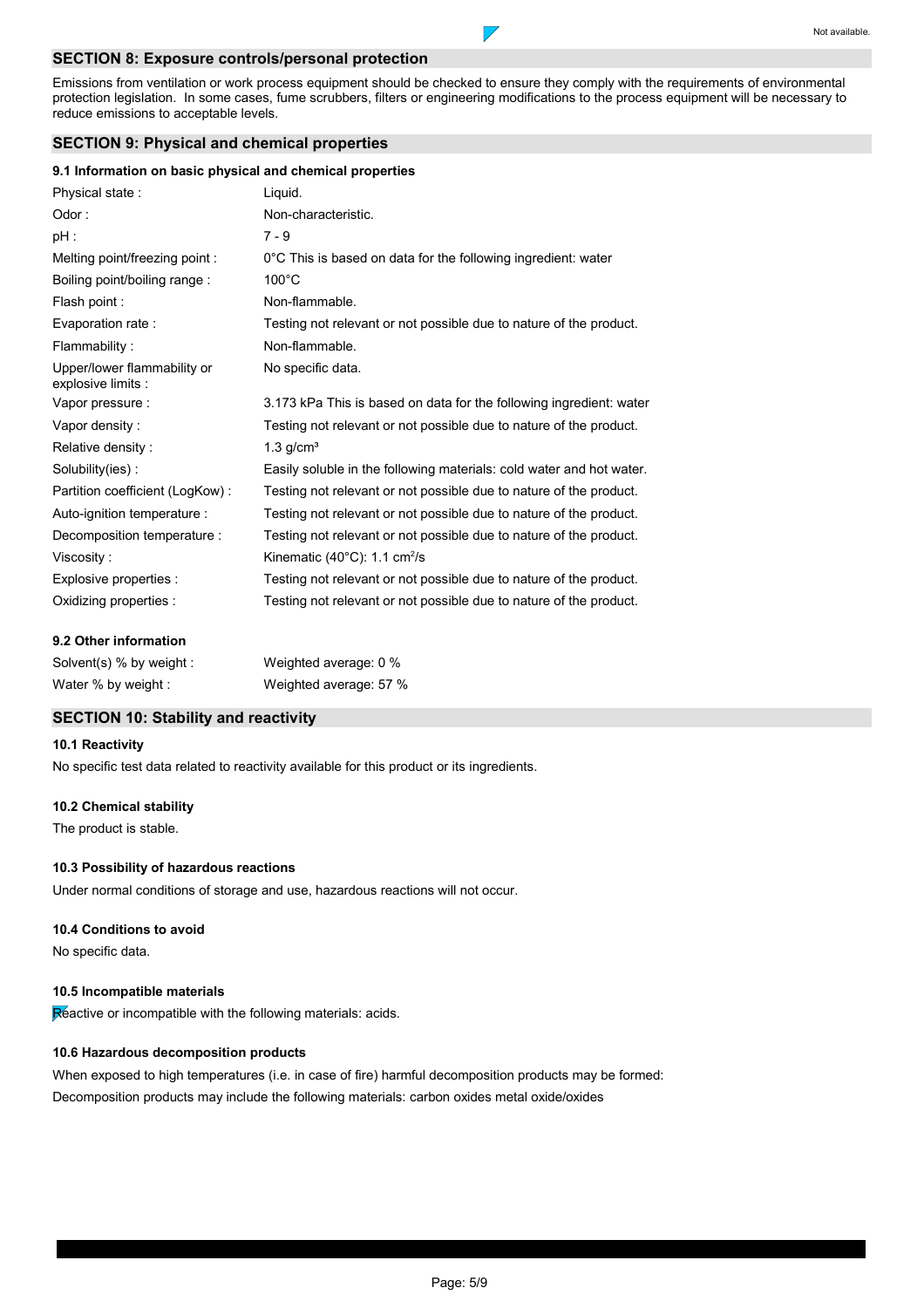## **SECTION 8: Exposure controls/personal protection**

Emissions from ventilation or work process equipment should be checked to ensure they comply with the requirements of environmental protection legislation. In some cases, fume scrubbers, filters or engineering modifications to the process equipment will be necessary to reduce emissions to acceptable levels.

 $\overline{\phantom{a}}$ 

## **SECTION 9: Physical and chemical properties**

## **9.1 Information on basic physical and chemical properties**

| Physical state:                                   | Liquid.                                                              |
|---------------------------------------------------|----------------------------------------------------------------------|
| Odor:                                             | Non-characteristic.                                                  |
| $pH$ :                                            | $7 - 9$                                                              |
| Melting point/freezing point:                     | 0°C This is based on data for the following ingredient: water        |
| Boiling point/boiling range:                      | $100^{\circ}$ C                                                      |
| Flash point:                                      | Non-flammable.                                                       |
| Evaporation rate:                                 | Testing not relevant or not possible due to nature of the product.   |
| Flammability:                                     | Non-flammable.                                                       |
| Upper/lower flammability or<br>explosive limits : | No specific data.                                                    |
| Vapor pressure :                                  | 3.173 kPa This is based on data for the following ingredient: water  |
| Vapor density:                                    | Testing not relevant or not possible due to nature of the product.   |
| Relative density:                                 | $1.3$ g/cm <sup>3</sup>                                              |
| Solubility(ies):                                  | Easily soluble in the following materials: cold water and hot water. |
| Partition coefficient (LogKow):                   | Testing not relevant or not possible due to nature of the product.   |
| Auto-ignition temperature :                       | Testing not relevant or not possible due to nature of the product.   |
| Decomposition temperature :                       | Testing not relevant or not possible due to nature of the product.   |
| Viscosity:                                        | Kinematic (40°C): 1.1 cm <sup>2</sup> /s                             |
| Explosive properties :                            | Testing not relevant or not possible due to nature of the product.   |
| Oxidizing properties :                            | Testing not relevant or not possible due to nature of the product.   |

## **9.2 Other information**

| Solvent(s) $%$ by weight: | Weighted average: 0 %  |
|---------------------------|------------------------|
| Water % by weight :       | Weighted average: 57 % |

## **SECTION 10: Stability and reactivity**

## **10.1 Reactivity**

No specific test data related to reactivity available for this product or its ingredients.

## **10.2 Chemical stability**

The product is stable.

## **10.3 Possibility of hazardous reactions**

Under normal conditions of storage and use, hazardous reactions will not occur.

### **10.4 Conditions to avoid**

No specific data.

## **10.5 Incompatible materials**

Reactive or incompatible with the following materials: acids.

## **10.6 Hazardous decomposition products**

When exposed to high temperatures (i.e. in case of fire) harmful decomposition products may be formed: Decomposition products may include the following materials: carbon oxides metal oxide/oxides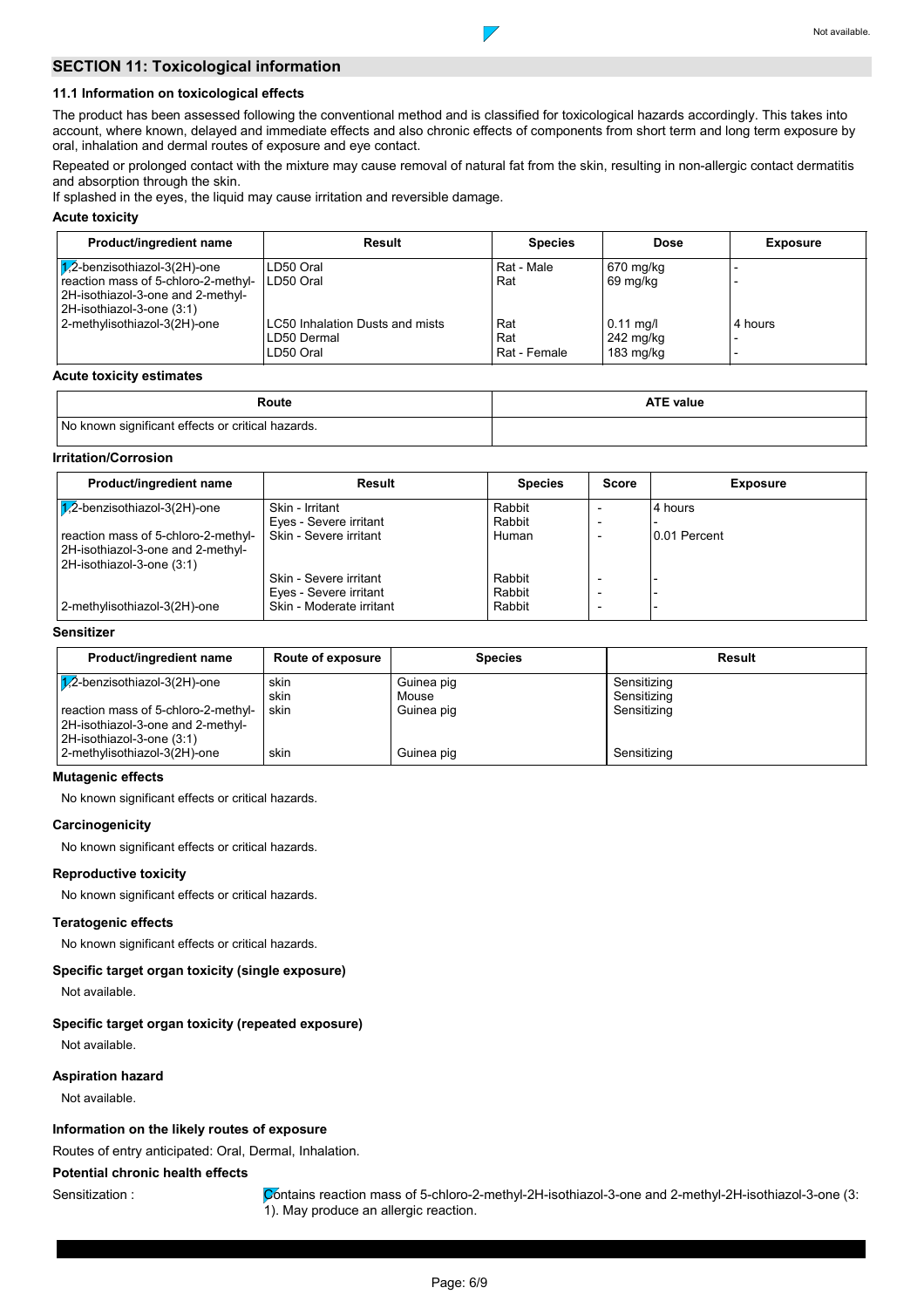## **SECTION 11: Toxicological information**

## **11.1 Information on toxicological effects**

The product has been assessed following the conventional method and is classified for toxicological hazards accordingly. This takes into account, where known, delayed and immediate effects and also chronic effects of components from short term and long term exposure by oral, inhalation and dermal routes of exposure and eye contact.

 $\overline{\phantom{a}}$ 

Repeated or prolonged contact with the mixture may cause removal of natural fat from the skin, resulting in non-allergic contact dermatitis and absorption through the skin.

If splashed in the eyes, the liquid may cause irritation and reversible damage.

## **Acute toxicity**

| Product/ingredient name                                                                               | Result                                                      | <b>Species</b>               | <b>Dose</b>                                     | <b>Exposure</b> |
|-------------------------------------------------------------------------------------------------------|-------------------------------------------------------------|------------------------------|-------------------------------------------------|-----------------|
| $1/2$ -benzisothiazol-3(2H)-one                                                                       | LD50 Oral                                                   | Rat - Male                   | 670 mg/kg                                       |                 |
| reaction mass of 5-chloro-2-methyl-<br>2H-isothiazol-3-one and 2-methyl-<br>2H-isothiazol-3-one (3:1) | LD50 Oral                                                   | Rat                          | 69 mg/kg                                        |                 |
| 2-methylisothiazol-3(2H)-one                                                                          | LC50 Inhalation Dusts and mists<br>LD50 Dermal<br>LD50 Oral | Rat<br>Rat<br>l Rat - Female | $0.11$ mg/l<br>242 mg/kg<br>$183 \text{ mg/kg}$ | 4 hours         |

#### **Acute toxicity estimates**

| Route                                             | <b>ATE value</b> |
|---------------------------------------------------|------------------|
| No known significant effects or critical hazards. |                  |

## **Irritation/Corrosion**

| Product/ingredient name                                                                               | Result                   | <b>Species</b> | <b>Score</b>             | <b>Exposure</b> |
|-------------------------------------------------------------------------------------------------------|--------------------------|----------------|--------------------------|-----------------|
| $\sqrt{1/2}$ -benzisothiazol-3(2H)-one                                                                | Skin - Irritant          | Rabbit         |                          | 4 hours         |
|                                                                                                       | Eyes - Severe irritant   | Rabbit         |                          |                 |
| reaction mass of 5-chloro-2-methyl-<br>2H-isothiazol-3-one and 2-methyl-<br>2H-isothiazol-3-one (3:1) | Skin - Severe irritant   | Human          |                          | 10.01 Percent   |
|                                                                                                       | Skin - Severe irritant   | Rabbit         |                          |                 |
|                                                                                                       | Eyes - Severe irritant   | Rabbit         |                          |                 |
| 2-methylisothiazol-3(2H)-one                                                                          | Skin - Moderate irritant | Rabbit         | $\overline{\phantom{0}}$ |                 |

## **Sensitizer**

| Product/ingredient name                                                                               | <b>Route of exposure</b> | <b>Species</b>      | Result                     |
|-------------------------------------------------------------------------------------------------------|--------------------------|---------------------|----------------------------|
| $\sqrt{7}$ -benzisothiazol-3(2H)-one                                                                  | skin<br>skin             | Guinea pig<br>Mouse | Sensitizing<br>Sensitizing |
| reaction mass of 5-chloro-2-methyl-<br>2H-isothiazol-3-one and 2-methyl-<br>2H-isothiazol-3-one (3:1) | skin                     | Guinea pig          | Sensitizing                |
| 2-methylisothiazol-3(2H)-one                                                                          | skin                     | Guinea pig          | Sensitizing                |

## **Mutagenic effects**

No known significant effects or critical hazards.

### **Carcinogenicity**

No known significant effects or critical hazards.

## **Reproductive toxicity**

No known significant effects or critical hazards.

## **Teratogenic effects**

No known significant effects or critical hazards.

### **Specific target organ toxicity (single exposure)**

Not available.

### **Specific target organ toxicity (repeated exposure)**

Not available.

## **Aspiration hazard**

Not available.

## **Information on the likely routes of exposure**

Routes of entry anticipated: Oral, Dermal, Inhalation.

## **Potential chronic health effects**

Sensitization : Contains reaction mass of 5-chloro-2-methyl-2H-isothiazol-3-one and 2-methyl-2H-isothiazol-3-one (3: 1). May produce an allergic reaction.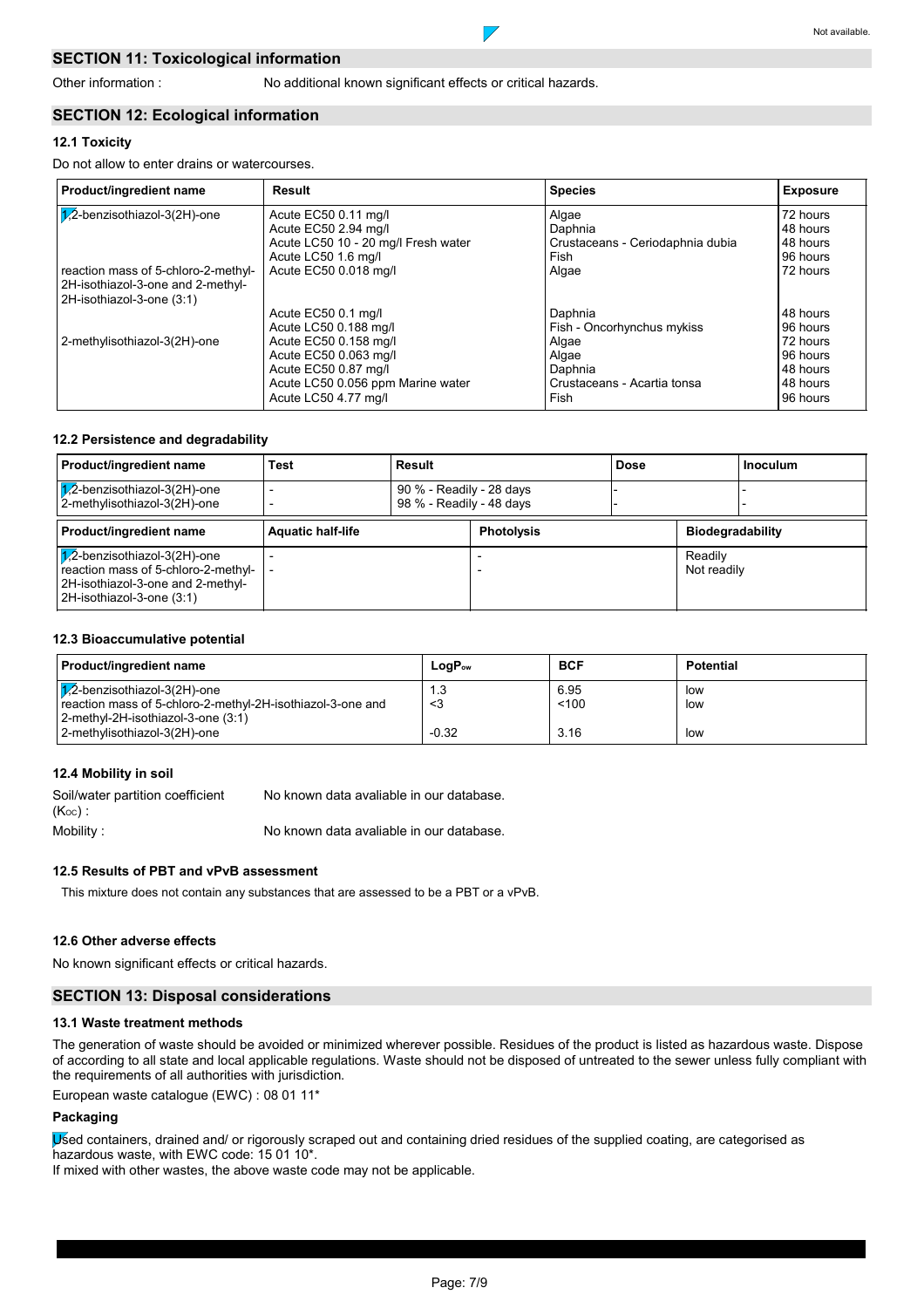## **SECTION 11: Toxicological information**

 $\overline{\phantom{a}}$ 

## **SECTION 12: Ecological information**

## **12.1 Toxicity**

Do not allow to enter drains or watercourses.

| Product/ingredient name                                                                               | Result                              | <b>Species</b>                   | <b>Exposure</b> |
|-------------------------------------------------------------------------------------------------------|-------------------------------------|----------------------------------|-----------------|
| 1/2-benzisothiazol-3(2H)-one                                                                          | Acute EC50 0.11 mg/l                | Algae                            | 72 hours        |
|                                                                                                       | Acute EC50 2.94 mg/l                | Daphnia                          | 48 hours        |
|                                                                                                       | Acute LC50 10 - 20 mg/l Fresh water | Crustaceans - Ceriodaphnia dubia | 48 hours        |
|                                                                                                       | Acute LC50 1.6 mg/l                 | Fish                             | 96 hours        |
| reaction mass of 5-chloro-2-methyl-<br>2H-isothiazol-3-one and 2-methyl-<br>2H-isothiazol-3-one (3:1) | Acute EC50 0.018 mg/l               | Algae                            | 72 hours        |
|                                                                                                       | Acute EC50 0.1 mg/l                 | Daphnia                          | 48 hours        |
|                                                                                                       | Acute LC50 0.188 mg/l               | Fish - Oncorhynchus mykiss       | 96 hours        |
| 2-methylisothiazol-3(2H)-one                                                                          | Acute EC50 0.158 mg/l               | Algae                            | 72 hours        |
|                                                                                                       | Acute EC50 0.063 mg/l               | Algae                            | 96 hours        |
|                                                                                                       | Acute EC50 0.87 mg/l                | Daphnia                          | 48 hours        |
|                                                                                                       | Acute LC50 0.056 ppm Marine water   | Crustaceans - Acartia tonsa      | 48 hours        |
|                                                                                                       | Acute LC50 4.77 mg/l                | Fish                             | 96 hours        |

### **12.2 Persistence and degradability**

| Product/ingredient name                                                                                                                         | Test                     | Result                                               |                   | <b>Dose</b> |                         | <b>Inoculum</b> |
|-------------------------------------------------------------------------------------------------------------------------------------------------|--------------------------|------------------------------------------------------|-------------------|-------------|-------------------------|-----------------|
| $\sqrt{1/2}$ -benzisothiazol-3(2H)-one<br>2-methylisothiazol-3(2H)-one                                                                          |                          | 90 % - Readily - 28 days<br>98 % - Readily - 48 days |                   |             |                         |                 |
| Product/ingredient name                                                                                                                         | <b>Aquatic half-life</b> |                                                      | <b>Photolysis</b> |             | <b>Biodegradability</b> |                 |
| $\sqrt{1/2}$ -benzisothiazol-3(2H)-one<br>reaction mass of 5-chloro-2-methyl-<br>2H-isothiazol-3-one and 2-methyl-<br>2H-isothiazol-3-one (3:1) |                          |                                                      |                   |             | Readily<br>Not readily  |                 |

## **12.3 Bioaccumulative potential**

| <b>Product/ingredient name</b>                                                                       | $LogP_{ow}$ | <b>BCF</b>    | Potential  |
|------------------------------------------------------------------------------------------------------|-------------|---------------|------------|
| $\sqrt{1/2}$ -benzisothiazol-3(2H)-one<br>reaction mass of 5-chloro-2-methyl-2H-isothiazol-3-one and | 1.3<br>- <3 | 6.95<br>< 100 | low<br>low |
| 2-methyl-2H-isothiazol-3-one (3:1)<br>2-methylisothiazol-3(2H)-one                                   | $-0.32$     | 3.16          | low        |

## **12.4 Mobility in soil**

Mobility : Soil/water partition coefficient  $(K_{OC})$ : No known data avaliable in our database. No known data avaliable in our database.

### **12.5 Results of PBT and vPvB assessment**

This mixture does not contain any substances that are assessed to be a PBT or a vPvB.

## **12.6 Other adverse effects**

No known significant effects or critical hazards.

## **SECTION 13: Disposal considerations**

#### **13.1 Waste treatment methods**

The generation of waste should be avoided or minimized wherever possible. Residues of the product is listed as hazardous waste. Dispose of according to all state and local applicable regulations. Waste should not be disposed of untreated to the sewer unless fully compliant with the requirements of all authorities with jurisdiction.

European waste catalogue (EWC) : 08 01 11\*

## **Packaging**

Used containers, drained and/ or rigorously scraped out and containing dried residues of the supplied coating, are categorised as hazardous waste, with EWC code: 15 01 10\*.

If mixed with other wastes, the above waste code may not be applicable.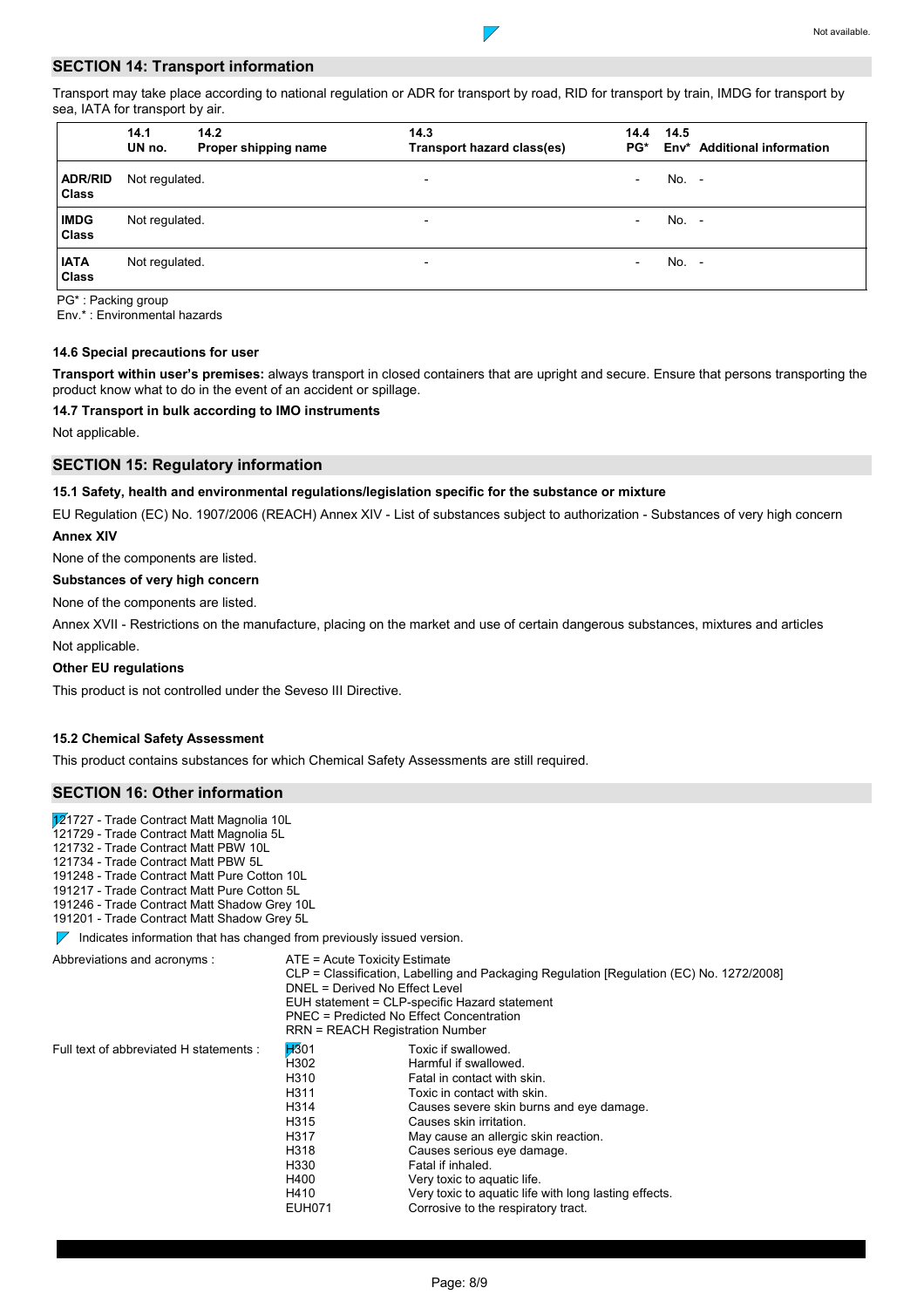## **SECTION 14: Transport information**

Transport may take place according to national regulation or ADR for transport by road, RID for transport by train, IMDG for transport by sea, IATA for transport by air.

 $\overline{\phantom{a}}$ 

|                                | 14.1<br>UN no. | 14.2<br>Proper shipping name | 14.3<br>Transport hazard class(es) | 14.4<br>$PG^*$           | 14.5    | Env* Additional information |
|--------------------------------|----------------|------------------------------|------------------------------------|--------------------------|---------|-----------------------------|
| <b>ADR/RID</b><br><b>Class</b> | Not regulated. |                              | $\overline{\phantom{0}}$           | $\overline{\phantom{a}}$ | $No. -$ |                             |
| <b>IMDG</b><br>Class           | Not regulated. |                              | $\overline{\phantom{0}}$           | $\overline{\phantom{0}}$ | No. -   |                             |
| <b>IATA</b><br><b>Class</b>    | Not regulated. |                              | $\overline{\phantom{0}}$           | $\overline{\phantom{0}}$ | No. -   |                             |

PG\* : Packing group

Env.\* : Environmental hazards

## **14.6 Special precautions for user**

**Transport within user's premises:** always transport in closed containers that are upright and secure. Ensure that persons transporting the product know what to do in the event of an accident or spillage.

## **14.7 Transport in bulk according to IMO instruments**

Not applicable.

## **SECTION 15: Regulatory information**

## **15.1 Safety, health and environmental regulations/legislation specific for the substance or mixture**

EU Regulation (EC) No. 1907/2006 (REACH) Annex XIV - List of substances subject to authorization - Substances of very high concern **Annex XIV**

None of the components are listed.

### **Substances of very high concern**

None of the components are listed.

Not applicable. Annex XVII - Restrictions on the manufacture, placing on the market and use of certain dangerous substances, mixtures and articles

### **Other EU regulations**

This product is not controlled under the Seveso III Directive.

## **15.2 Chemical Safety Assessment**

This product contains substances for which Chemical Safety Assessments are still required.

## **SECTION 16: Other information**

121727 - Trade Contract Matt Magnolia 10L

121729 - Trade Contract Matt Magnolia 5L

121732 - Trade Contract Matt PBW 10L

121734 - Trade Contract Matt PBW 5L 191248 - Trade Contract Matt Pure Cotton 10L

191217 - Trade Contract Matt Pure Cotton 5L

191246 - Trade Contract Matt Shadow Grey 10L

191201 - Trade Contract Matt Shadow Grey 5L

 $\nabla$  Indicates information that has changed from previously issued version.

Abbreviations and acronyms : ATE = Acute Toxicity Estimate

|                                          |             | $1112$ $10000$ $100000$                                                                  |  |
|------------------------------------------|-------------|------------------------------------------------------------------------------------------|--|
|                                          |             | CLP = Classification, Labelling and Packaging Regulation [Regulation (EC) No. 1272/2008] |  |
|                                          |             | DNEL = Derived No Effect Level                                                           |  |
|                                          |             | EUH statement = CLP-specific Hazard statement                                            |  |
| PNEC = Predicted No Effect Concentration |             |                                                                                          |  |
|                                          |             | RRN = REACH Registration Number                                                          |  |
| ents :                                   | <b>H301</b> | Toxic if swallowed.                                                                      |  |
|                                          | ്⊔ാററ       | Hormful if qualiqued                                                                     |  |

| Full text of abbreviated H statements : | H301             | Toxic if swallowed.                                   |
|-----------------------------------------|------------------|-------------------------------------------------------|
|                                         | H302             | Harmful if swallowed.                                 |
|                                         | H <sub>310</sub> | Fatal in contact with skin.                           |
|                                         | H311             | Toxic in contact with skin.                           |
|                                         | H314             | Causes severe skin burns and eye damage.              |
|                                         | H315             | Causes skin irritation.                               |
|                                         | H317             | May cause an allergic skin reaction.                  |
|                                         | H318             | Causes serious eye damage.                            |
|                                         | H330             | Fatal if inhaled.                                     |
|                                         | H400             | Very toxic to aquatic life.                           |
|                                         | H410             | Very toxic to aquatic life with long lasting effects. |
|                                         | <b>EUH071</b>    | Corrosive to the respiratory tract.                   |